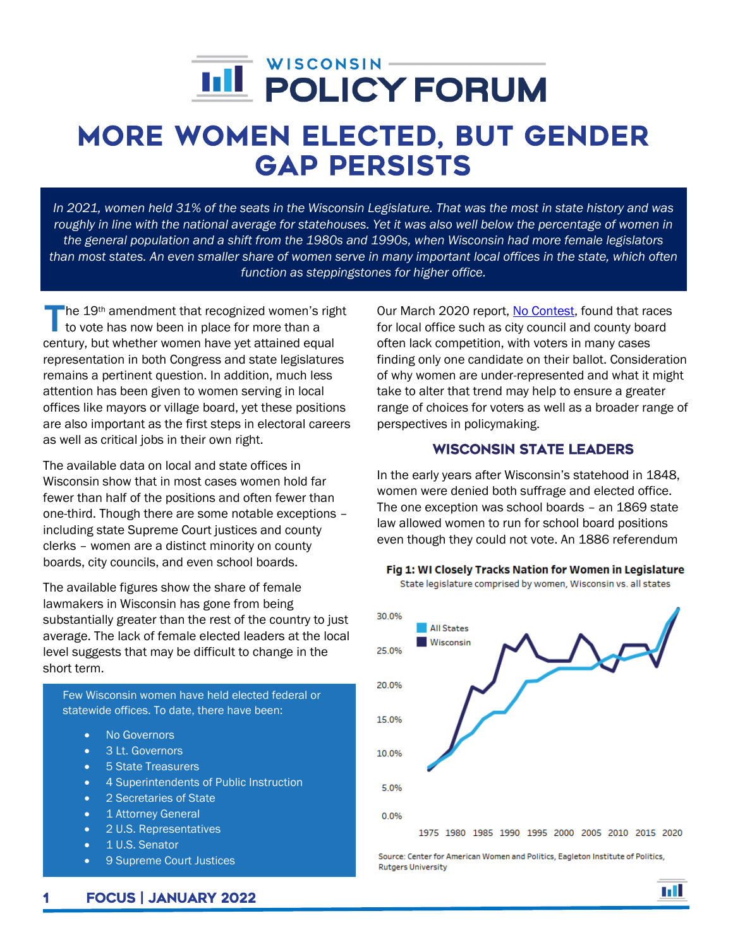# j

# More Women Elected, But Gender Gap Persists

*In 2021, women held 31% of the seats in the Wisconsin Legislature. That was the most in state history and was roughly in line with the national average for statehouses. Yet it was also well below the percentage of women in the general population and a shift from the 1980s and 1990s, when Wisconsin had more female legislators than most states. An even smaller share of women serve in many important local offices in the state, which often function as steppingstones for higher office.*

The 19<sup>th</sup> amendment that recognized women's right<br>to vote has now been in place for more than a to vote has now been in place for more than a century, but whether women have yet attained equal representation in both Congress and state legislatures remains a pertinent question. In addition, much less attention has been given to women serving in local offices like mayors or village board, yet these positions are also important as the first steps in electoral careers as well as critical jobs in their own right.

The available data on local and state offices in Wisconsin show that in most cases women hold far fewer than half of the positions and often fewer than one-third. Though there are some notable exceptions – including state Supreme Court justices and county clerks – women are a distinct minority on county boards, city councils, and even school boards.

The available figures show the share of female lawmakers in Wisconsin has gone from being substantially greater than the rest of the country to just average. The lack of female elected leaders at the local level suggests that may be difficult to change in the short term.

Few Wisconsin women have held elected federal or statewide offices. To date, there have been:

- No Governors
- 3 Lt. Governors
- 5 State Treasurers
- 4 Superintendents of Public Instruction
- 2 Secretaries of State
- 1 Attorney General
- 2 U.S. Representatives
- 1 U.S. Senator
- 9 Supreme Court Justices

Our March 2020 report, [No Contest,](https://wispolicyforum.org/research/no-contest-local-spring-elections-feature-few-choices-for-wisconsin-voters/) found that races for local office such as city council and county board often lack competition, with voters in many cases finding only one candidate on their ballot. Consideration of why women are under-represented and what it might take to alter that trend may help to ensure a greater range of choices for voters as well as a broader range of perspectives in policymaking.

# Wisconsin State Leaders

In the early years after Wisconsin's statehood in 1848, women were denied both suffrage and elected office. The one exception was school boards – an 1869 state law allowed women to run for school board positions even though they could not vote. An 1886 referendum



Fig 1: WI Closely Tracks Nation for Women in Legislature

State legislature comprised by women, Wisconsin vs. all states

Source: Center for American Women and Politics, Eagleton Institute of Politics, **Rutgers University** 

n a T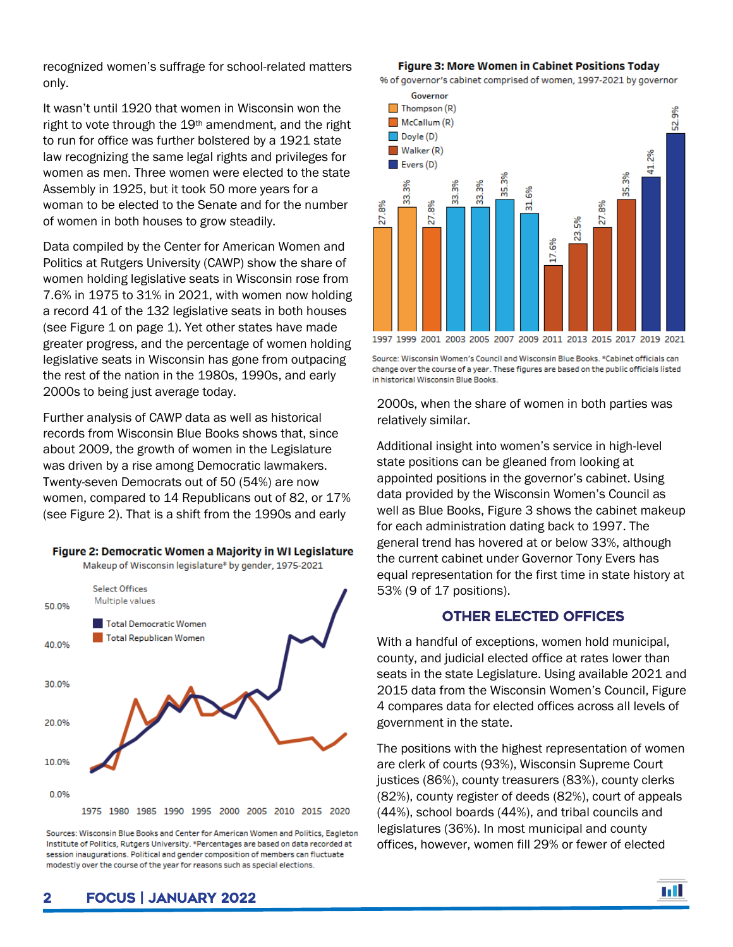recognized women's suffrage for school-related matters only.

It wasn't until 1920 that women in Wisconsin won the right to vote through the 19<sup>th</sup> amendment, and the right to run for office was further bolstered by a 1921 state law recognizing the same legal rights and privileges for women as men. Three women were elected to the state Assembly in 1925, but it took 50 more years for a woman to be elected to the Senate and for the number of women in both houses to grow steadily.

Data compiled by the Center for American Women and Politics at Rutgers University (CAWP) show the share of women holding legislative seats in Wisconsin rose from 7.6% in 1975 to 31% in 2021, with women now holding a record 41 of the 132 legislative seats in both houses (see Figure 1 on page 1). Yet other states have made greater progress, and the percentage of women holding legislative seats in Wisconsin has gone from outpacing the rest of the nation in the 1980s, 1990s, and early 2000s to being just average today.

Further analysis of CAWP data as well as historical records from Wisconsin Blue Books shows that, since about 2009, the growth of women in the Legislature was driven by a rise among Democratic lawmakers. Twenty-seven Democrats out of 50 (54%) are now women, compared to 14 Republicans out of 82, or 17% (see Figure 2). That is a shift from the 1990s and early



Makeup of Wisconsin legislature\* by gender, 1975-2021



Sources: Wisconsin Blue Books and Center for American Women and Politics, Eagleton Institute of Politics, Rutgers University. \*Percentages are based on data recorded at session inaugurations. Political and gender composition of members can fluctuate modestly over the course of the year for reasons such as special elections

#### Figure 3: More Women in Cabinet Positions Today

% of governor's cabinet comprised of women, 1997-2021 by governor



Source: Wisconsin Women's Council and Wisconsin Blue Books. \*Cabinet officials can change over the course of a year. These figures are based on the public officials listed in historical Wisconsin Blue Books.

2000s, when the share of women in both parties was relatively similar.

Additional insight into women's service in high-level state positions can be gleaned from looking at appointed positions in the governor's cabinet. Using data provided by the Wisconsin Women's Council as well as Blue Books, Figure 3 shows the cabinet makeup for each administration dating back to 1997. The general trend has hovered at or below 33%, although the current cabinet under Governor Tony Evers has equal representation for the first time in state history at 53% (9 of 17 positions).

### Other elected offices

With a handful of exceptions, women hold municipal, county, and judicial elected office at rates lower than seats in the state Legislature. Using available 2021 and 2015 data from the Wisconsin Women's Council, Figure 4 compares data for elected offices across all levels of government in the state.

The positions with the highest representation of women are clerk of courts (93%), Wisconsin Supreme Court justices (86%), county treasurers (83%), county clerks (82%), county register of deeds (82%), court of appeals (44%), school boards (44%), and tribal councils and legislatures (36%). In most municipal and county offices, however, women fill 29% or fewer of elected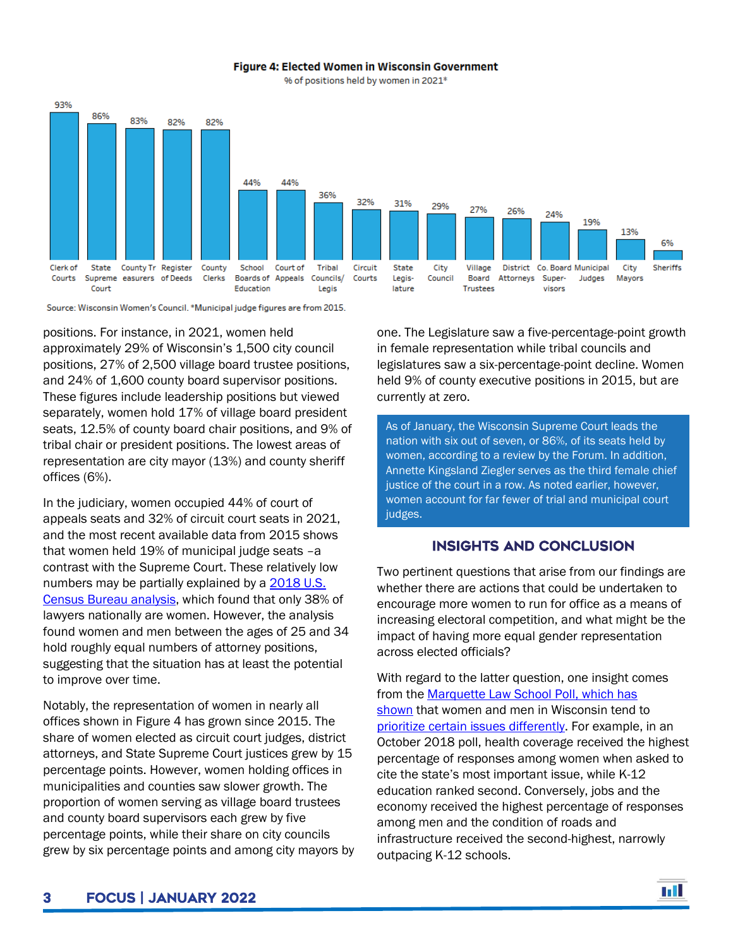

#### Figure 4: Elected Women in Wisconsin Government

% of positions held by women in 2021\*

Source: Wisconsin Women's Council. \*Municipal judge figures are from 2015.

positions. For instance, in 2021, women held approximately 29% of Wisconsin's 1,500 city council positions, 27% of 2,500 village board trustee positions, and 24% of 1,600 county board supervisor positions. These figures include leadership positions but viewed separately, women hold 17% of village board president seats, 12.5% of county board chair positions, and 9% of tribal chair or president positions. The lowest areas of representation are city mayor (13%) and county sheriff offices (6%).

In the judiciary, women occupied 44% of court of appeals seats and 32% of circuit court seats in 2021, and the most recent available data from 2015 shows that women held 19% of municipal judge seats –a contrast with the Supreme Court. These relatively low numbers may be partially explained by a [2018 U.S.](https://www.census.gov/library/stories/2018/05/women-lawyers.html)  [Census Bureau analysis,](https://www.census.gov/library/stories/2018/05/women-lawyers.html) which found that only 38% of lawyers nationally are women. However, the analysis found women and men between the ages of 25 and 34 hold roughly equal numbers of attorney positions, suggesting that the situation has at least the potential to improve over time.

Notably, the representation of women in nearly all offices shown in Figure 4 has grown since 2015. The share of women elected as circuit court judges, district attorneys, and State Supreme Court justices grew by 15 percentage points. However, women holding offices in municipalities and counties saw slower growth. The proportion of women serving as village board trustees and county board supervisors each grew by five percentage points, while their share on city councils grew by six percentage points and among city mayors by one. The Legislature saw a five-percentage-point growth in female representation while tribal councils and legislatures saw a six-percentage-point decline. Women held 9% of county executive positions in 2015, but are currently at zero.

As of January, the Wisconsin Supreme Court leads the nation with six out of seven, or 86%, of its seats held by women, according to a review by the Forum. In addition, Annette Kingsland Ziegler serves as the third female chief justice of the court in a row. As noted earlier, however, women account for far fewer of trial and municipal court judges.

## Insights and Conclusion

Two pertinent questions that arise from our findings are whether there are actions that could be undertaken to encourage more women to run for office as a means of increasing electoral competition, and what might be the impact of having more equal gender representation across elected officials?

With regard to the latter question, one insight comes from the **Marquette Law School Poll, which has** [shown](https://lubarcenter.shinyapps.io/MLSPCrosstabs/) that women and men in Wisconsin tend to [prioritize certain issues differently.](https://law.marquette.edu/poll/wp-content/uploads/2018/10/MLSP50CrosstabsRV.pdf) For example, in an October 2018 poll, health coverage received the highest percentage of responses among women when asked to cite the state's most important issue, while K-12 education ranked second. Conversely, jobs and the economy received the highest percentage of responses among men and the condition of roads and infrastructure received the second-highest, narrowly outpacing K-12 schools.